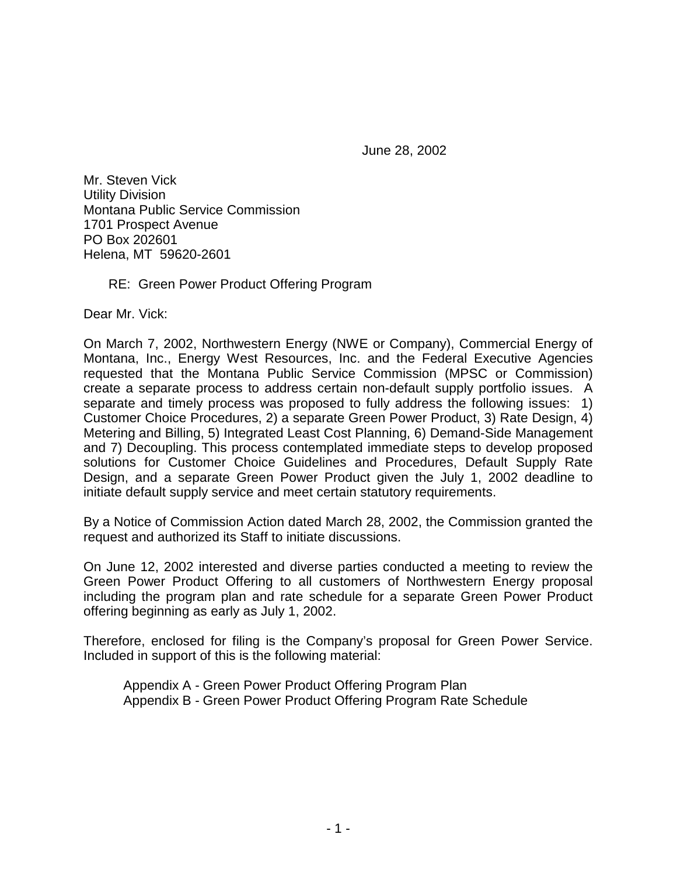June 28, 2002

Mr. Steven Vick Utility Division Montana Public Service Commission 1701 Prospect Avenue PO Box 202601 Helena, MT 59620-2601

## RE: Green Power Product Offering Program

Dear Mr. Vick:

On March 7, 2002, Northwestern Energy (NWE or Company), Commercial Energy of Montana, Inc., Energy West Resources, Inc. and the Federal Executive Agencies requested that the Montana Public Service Commission (MPSC or Commission) create a separate process to address certain non-default supply portfolio issues. A separate and timely process was proposed to fully address the following issues: 1) Customer Choice Procedures, 2) a separate Green Power Product, 3) Rate Design, 4) Metering and Billing, 5) Integrated Least Cost Planning, 6) Demand-Side Management and 7) Decoupling. This process contemplated immediate steps to develop proposed solutions for Customer Choice Guidelines and Procedures, Default Supply Rate Design, and a separate Green Power Product given the July 1, 2002 deadline to initiate default supply service and meet certain statutory requirements.

By a Notice of Commission Action dated March 28, 2002, the Commission granted the request and authorized its Staff to initiate discussions.

On June 12, 2002 interested and diverse parties conducted a meeting to review the Green Power Product Offering to all customers of Northwestern Energy proposal including the program plan and rate schedule for a separate Green Power Product offering beginning as early as July 1, 2002.

Therefore, enclosed for filing is the Company's proposal for Green Power Service. Included in support of this is the following material:

Appendix A - Green Power Product Offering Program Plan Appendix B - Green Power Product Offering Program Rate Schedule